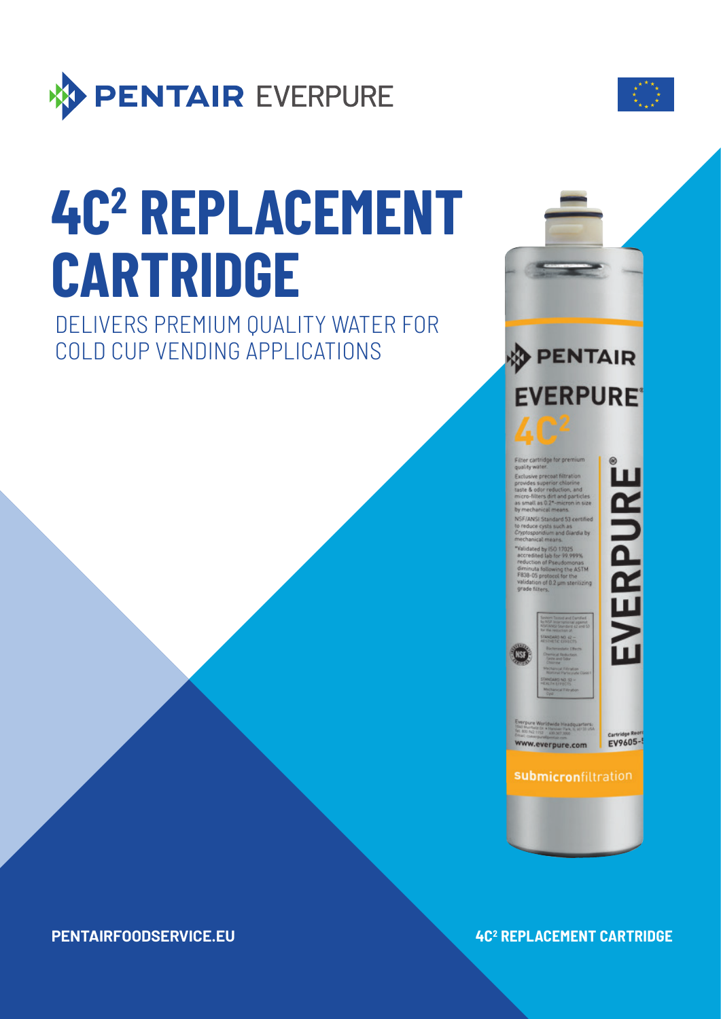

# **4C2 REPLACEMENT CARTRIDGE**

DELIVERS PREMIUM QUALITY WATER FOR COLD CUP VENDING APPLICATIONS



Filter cartridge for premium<br>quality water. Exclusive precoat filtration Exclusive precises nuration<br>provides superior chlorine<br>taste & odor reduction, and<br>micro-filters dirt and particles<br>as small as 0,21-micron in size<br>by mechanical means. NSF/ANSI Standard 53 certified<br>to reduce cysts such as<br>Cryptospondium and Giardia by<br>mechanical means.

"Validated by ISO 17025<br>accredited lab for 99.999%<br>reduction of Pseudomonas<br>diminuta following the ASTM<br>F838-05 protocol for the<br>validation of 0.2 µm sterilizing

EVERPURE

**ENDARO NO. 42-A MITCH FRIDA** MENO SI

(NSF)

www.everpure.com

EV9605-

**submicronfiltration** 

**PENTAIRFOODSERVICE.EU** 

# *AC<sup>2</sup> REPLACEMENT CARTRIDGE*